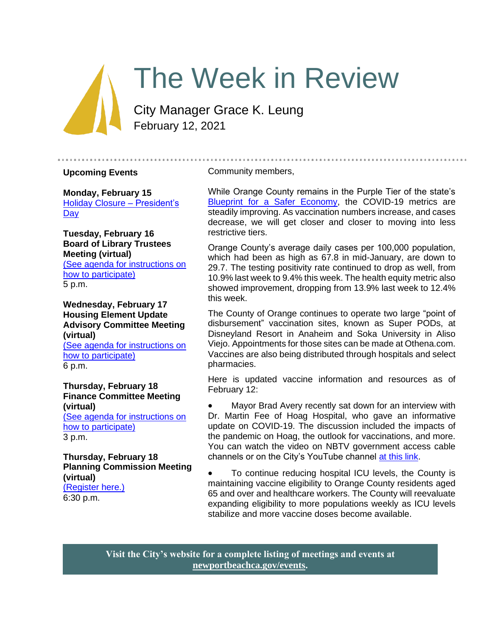# The Week in Review

City Manager Grace K. Leung February 12, 2021

#### **Upcoming Events**

**Monday, February 15** [Holiday Closure –](https://newportbeachca.gov/Home/Components/Calendar/Event/65879/72) President's **[Day](https://newportbeachca.gov/Home/Components/Calendar/Event/65879/72)** 

**Tuesday, February 16 Board of Library Trustees Meeting (virtual)** [\(See agenda for instructions on](https://newportbeachca.gov/Home/Components/Calendar/Event/63653/72)  [how to participate\)](https://newportbeachca.gov/Home/Components/Calendar/Event/63653/72) 5 p.m.

**Wednesday, February 17 Housing Element Update Advisory Committee Meeting (virtual)** [\(See agenda for instructions on](https://newportbeachca.gov/Home/Components/Calendar/Event/65420/72)  [how to participate\)](https://newportbeachca.gov/Home/Components/Calendar/Event/65420/72) 6 p.m.

**Thursday, February 18 Finance Committee Meeting (virtual)** [\(See agenda for instructions on](https://newportbeachca.gov/Home/Components/Calendar/Event/65345/72) 

[how to participate\)](https://newportbeachca.gov/Home/Components/Calendar/Event/65345/72) 3 p.m.

**Thursday, February 18 Planning Commission Meeting (virtual)** [\(Register here.\)](https://zoom.us/webinar/register/WN_34y4wqKdRPCUzJId_CbJDw) 6:30 p.m.

#### Community members,

While Orange County remains in the Purple Tier of the state's [Blueprint for a Safer Economy,](https://covid19.ca.gov/safer-economy/#county-status) the COVID-19 metrics are steadily improving. As vaccination numbers increase, and cases decrease, we will get closer and closer to moving into less restrictive tiers.

Orange County's average daily cases per 100,000 population, which had been as high as 67.8 in mid-January, are down to 29.7. The testing positivity rate continued to drop as well, from 10.9% last week to 9.4% this week. The health equity metric also showed improvement, dropping from 13.9% last week to 12.4% this week.

The County of Orange continues to operate two large "point of disbursement" vaccination sites, known as Super PODs, at Disneyland Resort in Anaheim and Soka University in Aliso Viejo. Appointments for those sites can be made at Othena.com. Vaccines are also being distributed through hospitals and select pharmacies.

Here is updated vaccine information and resources as of February 12:

• Mayor Brad Avery recently sat down for an interview with Dr. Martin Fee of Hoag Hospital, who gave an informative update on COVID-19. The discussion included the impacts of the pandemic on Hoag, the outlook for vaccinations, and more. You can watch the video on NBTV government access cable channels or on the City's YouTube channel [at this link.](https://www.youtube.com/watch?v=0NYYcixtX4I&t=11s)

• To continue reducing hospital ICU levels, the County is maintaining vaccine eligibility to Orange County residents aged 65 and over and healthcare workers. The County will reevaluate expanding eligibility to more populations weekly as ICU levels stabilize and more vaccine doses become available.

**Visit the City's website for a complete listing of meetings and events at [newportbeachca.gov/events.](https://www.newportbeachca.gov/government/data-hub/city-calendar)**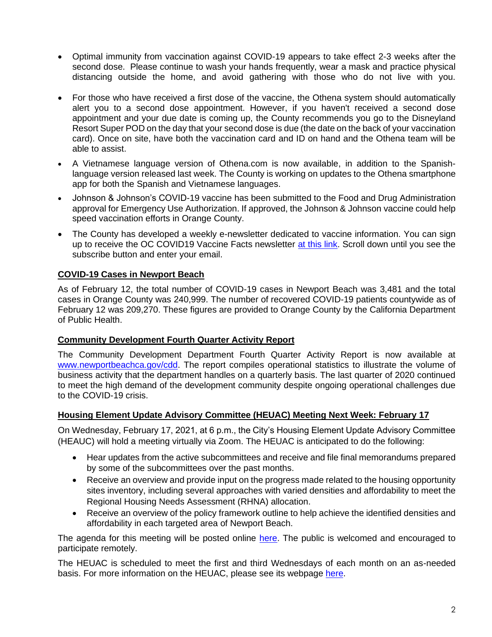- Optimal immunity from vaccination against COVID-19 appears to take effect 2-3 weeks after the second dose. Please continue to wash your hands frequently, wear a mask and practice physical distancing outside the home, and avoid gathering with those who do not live with you.
- For those who have received a first dose of the vaccine, the Othena system should automatically alert you to a second dose appointment. However, if you haven't received a second dose appointment and your due date is coming up, the County recommends you go to the Disneyland Resort Super POD on the day that your second dose is due (the date on the back of your vaccination card). Once on site, have both the vaccination card and ID on hand and the Othena team will be able to assist.
- A Vietnamese language version of Othena.com is now available, in addition to the Spanishlanguage version released last week. The County is working on updates to the Othena smartphone app for both the Spanish and Vietnamese languages.
- Johnson & Johnson's COVID-19 vaccine has been submitted to the Food and Drug Administration approval for Emergency Use Authorization. If approved, the Johnson & Johnson vaccine could help speed vaccination efforts in Orange County.
- The County has developed a weekly e-newsletter dedicated to vaccine information. You can sign up to receive the OC COVID19 Vaccine Facts newsletter [at this link.](https://occovid19.ochealthinfo.com/covid-19-vaccine-resources) Scroll down until you see the subscribe button and enter your email.

# **COVID-19 Cases in Newport Beach**

As of February 12, the total number of COVID-19 cases in Newport Beach was 3,481 and the total cases in Orange County was 240,999. The number of recovered COVID-19 patients countywide as of February 12 was 209,270. These figures are provided to Orange County by the California Department of Public Health.

### **Community Development Fourth Quarter Activity Report**

The Community Development Department Fourth Quarter Activity Report is now available at [www.newportbeachca.gov/cdd.](http://www.newportbeachca.gov/cdd) The report compiles operational statistics to illustrate the volume of business activity that the department handles on a quarterly basis. The last quarter of 2020 continued to meet the high demand of the development community despite ongoing operational challenges due to the COVID-19 crisis.

### **Housing Element Update Advisory Committee (HEUAC) Meeting Next Week: February 17**

On Wednesday, February 17, 2021, at 6 p.m., the City's Housing Element Update Advisory Committee (HEAUC) will hold a meeting virtually via Zoom. The HEUAC is anticipated to do the following:

- Hear updates from the active subcommittees and receive and file final memorandums prepared by some of the subcommittees over the past months.
- Receive an overview and provide input on the progress made related to the housing opportunity sites inventory, including several approaches with varied densities and affordability to meet the Regional Housing Needs Assessment (RHNA) allocation.
- Receive an overview of the policy framework outline to help achieve the identified densities and affordability in each targeted area of Newport Beach.

The agenda for this meeting will be posted online [here.](https://newportbeachca.gov/Home/Components/Calendar/Event/65420/72) The public is welcomed and encouraged to participate remotely.

The HEUAC is scheduled to meet the first and third Wednesdays of each month on an as-needed basis. For more information on the HEUAC, please see its webpage [here.](https://www.newportbeachca.gov/government/data-hub/agendas-minutes/housing-element-update-advisory-committee)